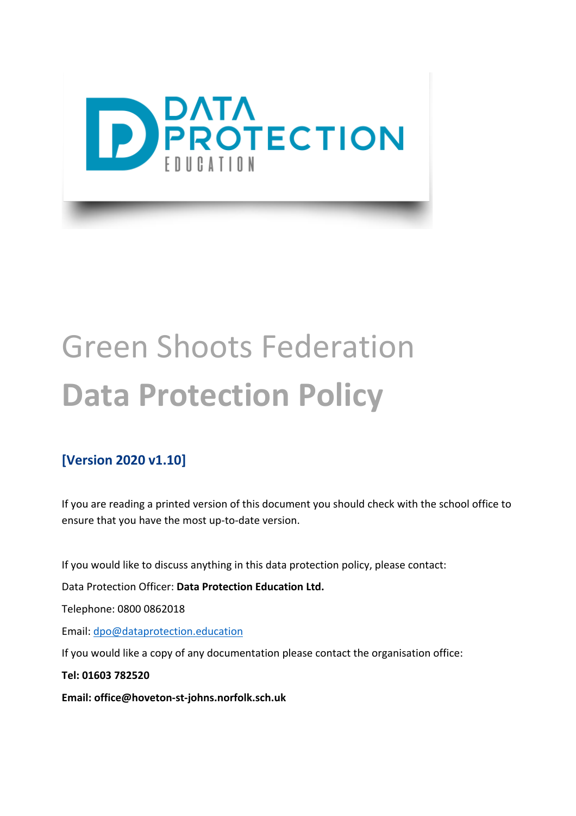

# Green Shoots Federation **Data Protection Policy**

#### **[Version 2020 v1.10]**

If you are reading a printed version of this document you should check with the school office to ensure that you have the most up-to-date version.

If you would like to discuss anything in this data protection policy, please contact:

Data Protection Officer: **Data Protection Education Ltd.**

Telephone: 0800 0862018

Email: dpo@dataprotection.education

If you would like a copy of any documentation please contact the organisation office:

**Tel: 01603 782520** 

**Email: office@hoveton-st-johns.norfolk.sch.uk**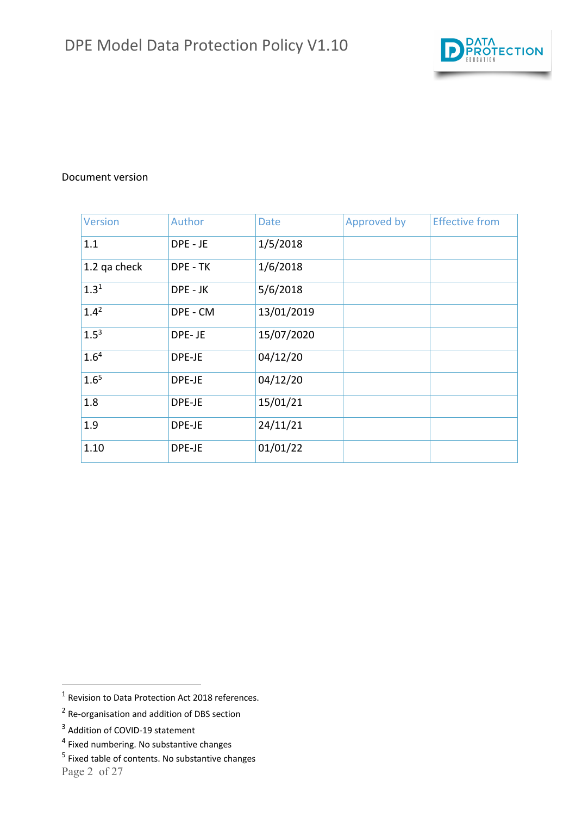

#### Document version

| Version          | Author   | <b>Date</b> | Approved by | <b>Effective from</b> |
|------------------|----------|-------------|-------------|-----------------------|
| 1.1              | DPE - JE | 1/5/2018    |             |                       |
| 1.2 qa check     | DPE - TK | 1/6/2018    |             |                       |
| $1.3^{1}$        | DPE - JK | 5/6/2018    |             |                       |
| $1.4^{2}$        | DPE - CM | 13/01/2019  |             |                       |
| $1.5^{3}$        | DPE-JE   | 15/07/2020  |             |                       |
| 1.6 <sup>4</sup> | DPE-JE   | 04/12/20    |             |                       |
| $1.6^{5}$        | DPE-JE   | 04/12/20    |             |                       |
| 1.8              | DPE-JE   | 15/01/21    |             |                       |
| 1.9              | DPE-JE   | 24/11/21    |             |                       |
| 1.10             | DPE-JE   | 01/01/22    |             |                       |

<sup>1</sup> Revision to Data Protection Act 2018 references.

<sup>2</sup> Re-organisation and addition of DBS section

<sup>3</sup> Addition of COVID-19 statement

<sup>4</sup> Fixed numbering. No substantive changes

<sup>5</sup> Fixed table of contents. No substantive changes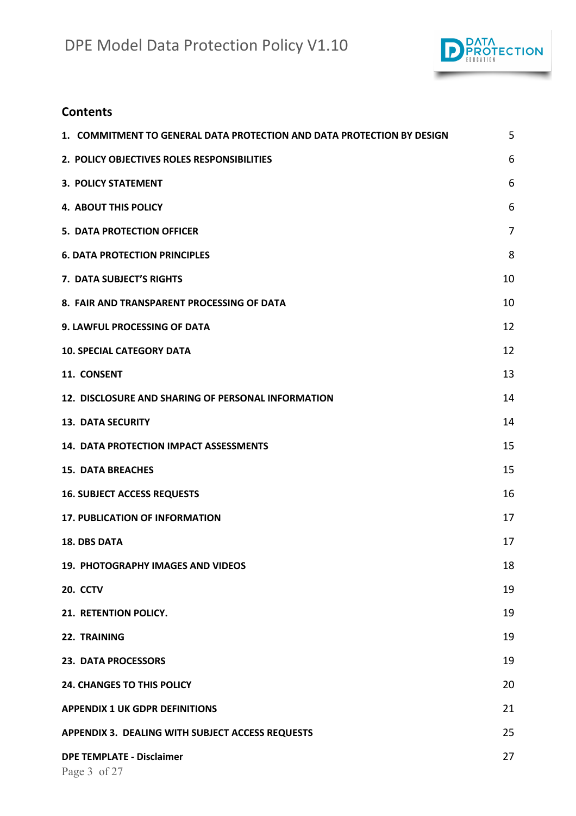

#### **Contents**

| 1. COMMITMENT TO GENERAL DATA PROTECTION AND DATA PROTECTION BY DESIGN | 5  |
|------------------------------------------------------------------------|----|
| 2. POLICY OBJECTIVES ROLES RESPONSIBILITIES                            | 6  |
| <b>3. POLICY STATEMENT</b>                                             | 6  |
| <b>4. ABOUT THIS POLICY</b>                                            | 6  |
| <b>5. DATA PROTECTION OFFICER</b>                                      | 7  |
| <b>6. DATA PROTECTION PRINCIPLES</b>                                   | 8  |
| 7. DATA SUBJECT'S RIGHTS                                               | 10 |
| 8. FAIR AND TRANSPARENT PROCESSING OF DATA                             | 10 |
| 9. LAWFUL PROCESSING OF DATA                                           | 12 |
| <b>10. SPECIAL CATEGORY DATA</b>                                       | 12 |
| 11. CONSENT                                                            | 13 |
| 12. DISCLOSURE AND SHARING OF PERSONAL INFORMATION                     | 14 |
| <b>13. DATA SECURITY</b>                                               | 14 |
| <b>14. DATA PROTECTION IMPACT ASSESSMENTS</b>                          | 15 |
| <b>15. DATA BREACHES</b>                                               | 15 |
| <b>16. SUBJECT ACCESS REQUESTS</b>                                     | 16 |
| <b>17. PUBLICATION OF INFORMATION</b>                                  | 17 |
| <b>18. DBS DATA</b>                                                    | 17 |
| <b>19. PHOTOGRAPHY IMAGES AND VIDEOS</b>                               | 18 |
| 20. CCTV                                                               | 19 |
| 21. RETENTION POLICY.                                                  | 19 |
| 22. TRAINING                                                           | 19 |
| <b>23. DATA PROCESSORS</b>                                             | 19 |
| <b>24. CHANGES TO THIS POLICY</b>                                      | 20 |
| <b>APPENDIX 1 UK GDPR DEFINITIONS</b>                                  | 21 |
| APPENDIX 3. DEALING WITH SUBJECT ACCESS REQUESTS                       | 25 |
| <b>DPE TEMPLATE - Disclaimer</b><br>Page 3 of 27                       | 27 |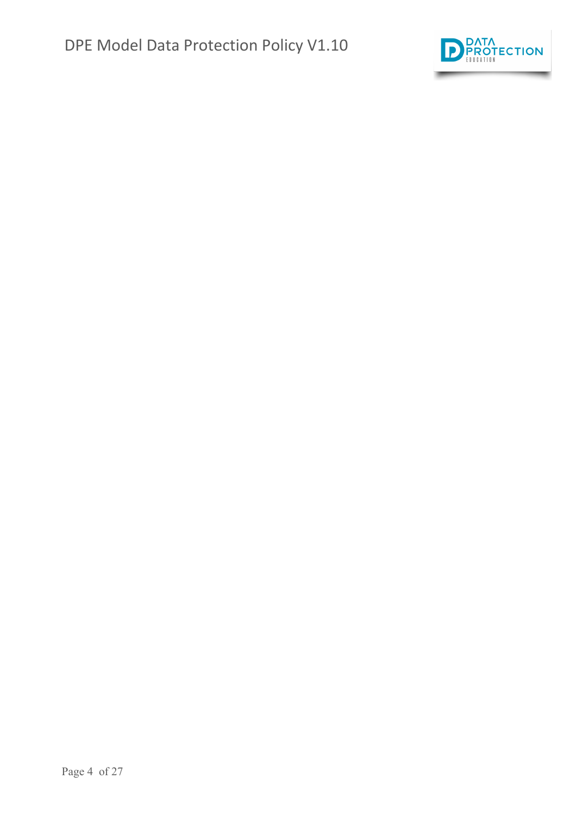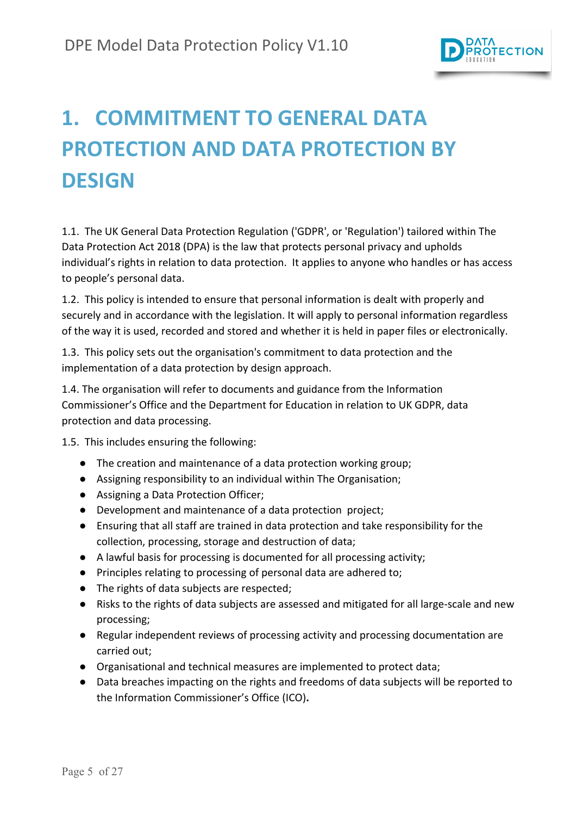

# **1. COMMITMENT TO GENERAL DATA PROTECTION AND DATA PROTECTION BY DESIGN**

1.1. The UK General Data Protection Regulation ('GDPR', or 'Regulation') tailored within The Data Protection Act 2018 (DPA) is the law that protects personal privacy and upholds individual's rights in relation to data protection. It applies to anyone who handles or has access to people's personal data.

1.2. This policy is intended to ensure that personal information is dealt with properly and securely and in accordance with the legislation. It will apply to personal information regardless of the way it is used, recorded and stored and whether it is held in paper files or electronically.

1.3. This policy sets out the organisation's commitment to data protection and the implementation of a data protection by design approach.

1.4. The organisation will refer to documents and guidance from the Information Commissioner's Office and the Department for Education in relation to UK GDPR, data protection and data processing.

1.5. This includes ensuring the following:

- The creation and maintenance of a data protection working group;
- Assigning responsibility to an individual within The Organisation;
- Assigning a Data Protection Officer;
- Development and maintenance of a data protection project;
- Ensuring that all staff are trained in data protection and take responsibility for the collection, processing, storage and destruction of data;
- A lawful basis for processing is documented for all processing activity;
- Principles relating to processing of personal data are adhered to;
- The rights of data subjects are respected;
- Risks to the rights of data subjects are assessed and mitigated for all large-scale and new processing;
- Regular independent reviews of processing activity and processing documentation are carried out;
- Organisational and technical measures are implemented to protect data;
- Data breaches impacting on the rights and freedoms of data subjects will be reported to the Information Commissioner's Office (ICO)**.**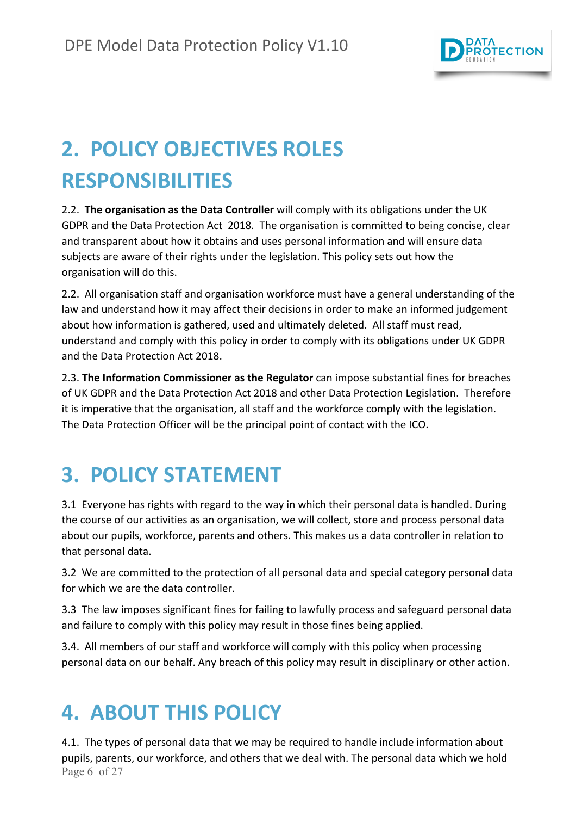

# **2. POLICY OBJECTIVES ROLES RESPONSIBILITIES**

2.2. **The organisation as the Data Controller** will comply with its obligations under the UK GDPR and the Data Protection Act 2018. The organisation is committed to being concise, clear and transparent about how it obtains and uses personal information and will ensure data subjects are aware of their rights under the legislation. This policy sets out how the organisation will do this.

2.2. All organisation staff and organisation workforce must have a general understanding of the law and understand how it may affect their decisions in order to make an informed judgement about how information is gathered, used and ultimately deleted. All staff must read, understand and comply with this policy in order to comply with its obligations under UK GDPR and the Data Protection Act 2018.

2.3. **The Information Commissioner as the Regulator** can impose substantial fines for breaches of UK GDPR and the Data Protection Act 2018 and other Data Protection Legislation. Therefore it is imperative that the organisation, all staff and the workforce comply with the legislation. The Data Protection Officer will be the principal point of contact with the ICO.

## **3. POLICY STATEMENT**

3.1 Everyone has rights with regard to the way in which their personal data is handled. During the course of our activities as an organisation, we will collect, store and process personal data about our pupils, workforce, parents and others. This makes us a data controller in relation to that personal data.

3.2 We are committed to the protection of all personal data and special category personal data for which we are the data controller.

3.3 The law imposes significant fines for failing to lawfully process and safeguard personal data and failure to comply with this policy may result in those fines being applied.

3.4. All members of our staff and workforce will comply with this policy when processing personal data on our behalf. Any breach of this policy may result in disciplinary or other action.

### **4. ABOUT THIS POLICY**

Page 6 of 27 4.1. The types of personal data that we may be required to handle include information about pupils, parents, our workforce, and others that we deal with. The personal data which we hold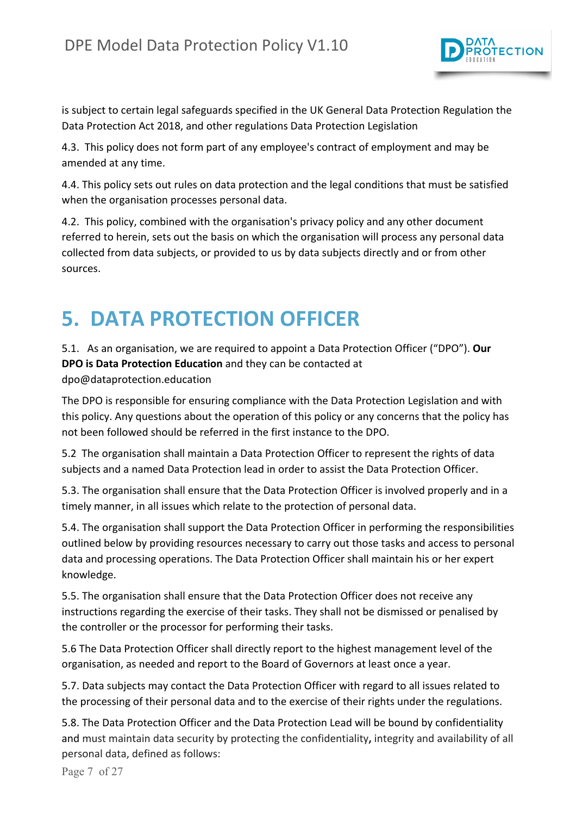

is subject to certain legal safeguards specified in the UK General Data Protection Regulation the Data Protection Act 2018, and other regulations Data Protection Legislation

4.3. This policy does not form part of any employee's contract of employment and may be amended at any time.

4.4. This policy sets out rules on data protection and the legal conditions that must be satisfied when the organisation processes personal data.

4.2. This policy, combined with the organisation's privacy policy and any other document referred to herein, sets out the basis on which the organisation will process any personal data collected from data subjects, or provided to us by data subjects directly and or from other sources.

### **5. DATA PROTECTION OFFICER**

5.1. As an organisation, we are required to appoint a Data Protection Officer ("DPO"). **Our DPO is Data Protection Education** and they can be contacted at

dpo@dataprotection.education

The DPO is responsible for ensuring compliance with the Data Protection Legislation and with this policy. Any questions about the operation of this policy or any concerns that the policy has not been followed should be referred in the first instance to the DPO.

5.2 The organisation shall maintain a Data Protection Officer to represent the rights of data subjects and a named Data Protection lead in order to assist the Data Protection Officer.

5.3. The organisation shall ensure that the Data Protection Officer is involved properly and in a timely manner, in all issues which relate to the protection of personal data.

5.4. The organisation shall support the Data Protection Officer in performing the responsibilities outlined below by providing resources necessary to carry out those tasks and access to personal data and processing operations. The Data Protection Officer shall maintain his or her expert knowledge.

5.5. The organisation shall ensure that the Data Protection Officer does not receive any instructions regarding the exercise of their tasks. They shall not be dismissed or penalised by the controller or the processor for performing their tasks.

5.6 The Data Protection Officer shall directly report to the highest management level of the organisation, as needed and report to the Board of Governors at least once a year.

5.7. Data subjects may contact the Data Protection Officer with regard to all issues related to the processing of their personal data and to the exercise of their rights under the regulations.

5.8. The Data Protection Officer and the Data Protection Lead will be bound by confidentiality and must maintain data security by protecting the confidentiality**,** integrity and availability of all personal data, defined as follows: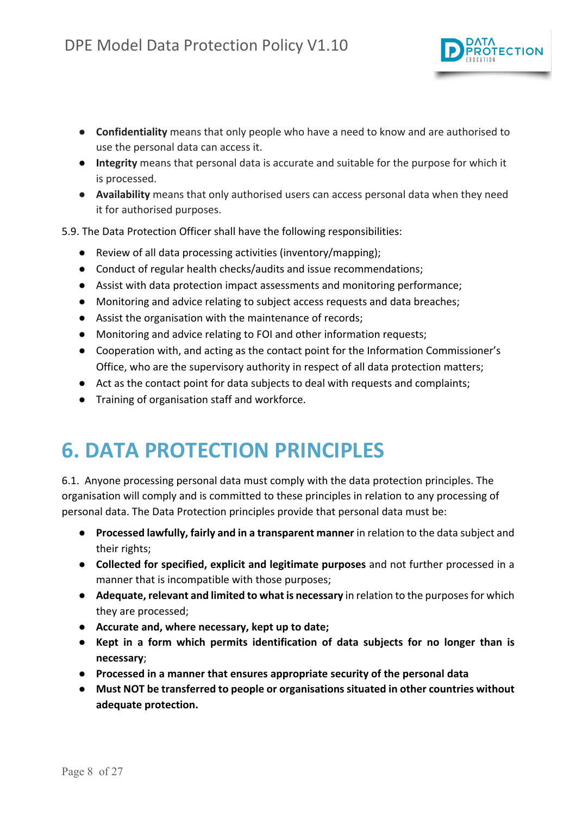

- **Confidentiality** means that only people who have a need to know and are authorised to use the personal data can access it.
- **Integrity** means that personal data is accurate and suitable for the purpose for which it is processed.
- **Availability** means that only authorised users can access personal data when they need it for authorised purposes.

5.9. The Data Protection Officer shall have the following responsibilities:

- Review of all data processing activities (inventory/mapping);
- Conduct of regular health checks/audits and issue recommendations;
- Assist with data protection impact assessments and monitoring performance;
- Monitoring and advice relating to subject access requests and data breaches;
- Assist the organisation with the maintenance of records;
- Monitoring and advice relating to FOI and other information requests;
- Cooperation with, and acting as the contact point for the Information Commissioner's Office, who are the supervisory authority in respect of all data protection matters;
- Act as the contact point for data subjects to deal with requests and complaints;
- Training of organisation staff and workforce.

#### **6. DATA PROTECTION PRINCIPLES**

6.1. Anyone processing personal data must comply with the data protection principles. The organisation will comply and is committed to these principles in relation to any processing of personal data. The Data Protection principles provide that personal data must be:

- **Processed lawfully, fairly and in a transparent manner** in relation to the data subject and their rights;
- **Collected for specified, explicit and legitimate purposes** and not further processed in a manner that is incompatible with those purposes;
- **Adequate, relevant and limited to what is necessary** in relation to the purposes for which they are processed;
- **Accurate and, where necessary, kept up to date;**
- **Kept in a form which permits identification of data subjects for no longer than is necessary**;
- **Processed in a manner that ensures appropriate security of the personal data**
- **Must NOT be transferred to people or organisations situated in other countries without adequate protection.**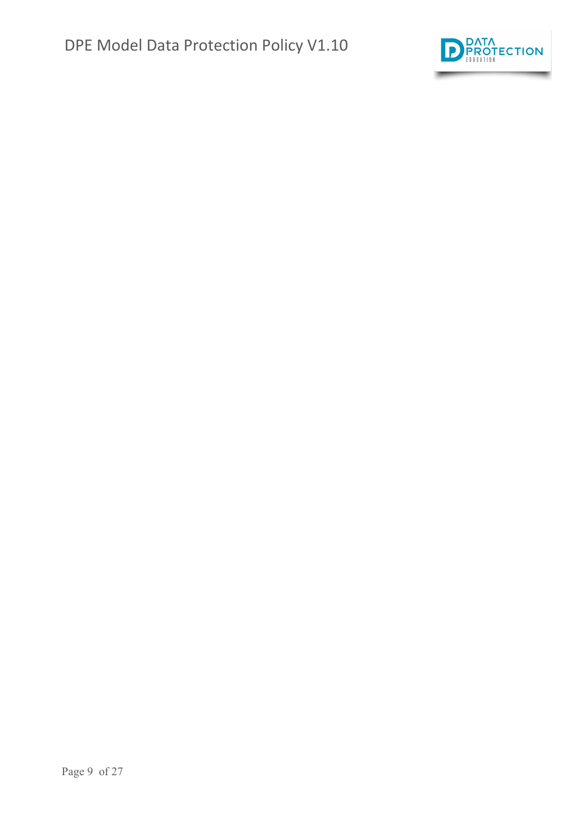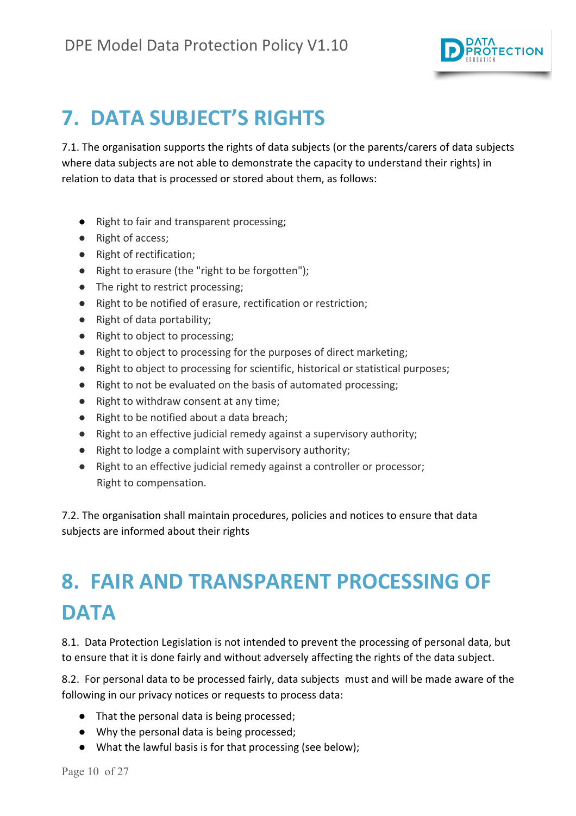

### **7. DATA SUBJECT'S RIGHTS**

7.1. The organisation supports the rights of data subjects (or the parents/carers of data subjects where data subjects are not able to demonstrate the capacity to understand their rights) in relation to data that is processed or stored about them, as follows:

- Right to fair and transparent processing;
- Right of access;
- Right of rectification;
- Right to erasure (the "right to be forgotten");
- The right to restrict processing;
- Right to be notified of erasure, rectification or restriction;
- Right of data portability;
- Right to object to processing;
- Right to object to processing for the purposes of direct marketing;
- Right to object to processing for scientific, historical or statistical purposes;
- Right to not be evaluated on the basis of automated processing;
- Right to withdraw consent at any time;
- Right to be notified about a data breach;
- Right to an effective judicial remedy against a supervisory authority;
- Right to lodge a complaint with supervisory authority;
- Right to an effective judicial remedy against a controller or processor; Right to compensation.

7.2. The organisation shall maintain procedures, policies and notices to ensure that data subjects are informed about their rights

# **8. FAIR AND TRANSPARENT PROCESSING OF DATA**

8.1. Data Protection Legislation is not intended to prevent the processing of personal data, but to ensure that it is done fairly and without adversely affecting the rights of the data subject.

8.2. For personal data to be processed fairly, data subjects must and will be made aware of the following in our privacy notices or requests to process data:

- That the personal data is being processed;
- Why the personal data is being processed;
- What the lawful basis is for that processing (see below);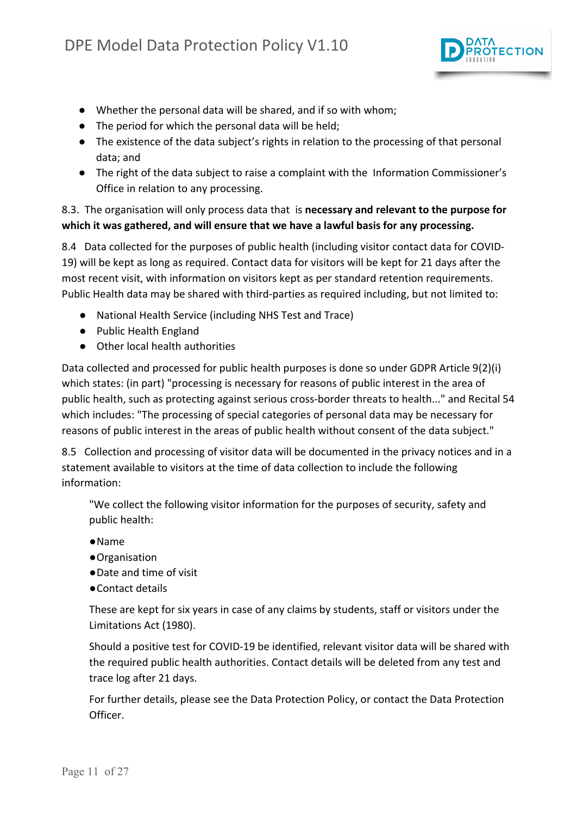

- Whether the personal data will be shared, and if so with whom;
- The period for which the personal data will be held;
- The existence of the data subject's rights in relation to the processing of that personal data; and
- The right of the data subject to raise a complaint with the Information Commissioner's Office in relation to any processing.

8.3. The organisation will only process data that is **necessary and relevant to the purpose for which it was gathered, and will ensure that we have a lawful basis for any processing.**

8.4 Data collected for the purposes of public health (including visitor contact data for COVID-19) will be kept as long as required. Contact data for visitors will be kept for 21 days after the most recent visit, with information on visitors kept as per standard retention requirements. Public Health data may be shared with third-parties as required including, but not limited to:

- National Health Service (including NHS Test and Trace)
- Public Health England
- Other local health authorities

Data collected and processed for public health purposes is done so under GDPR Article 9(2)(i) which states: (in part) "processing is necessary for reasons of public interest in the area of public health, such as protecting against serious cross-border threats to health..." and Recital 54 which includes: "The processing of special categories of personal data may be necessary for reasons of public interest in the areas of public health without consent of the data subject."

8.5 Collection and processing of visitor data will be documented in the privacy notices and in a statement available to visitors at the time of data collection to include the following information:

"We collect the following visitor information for the purposes of security, safety and public health:

- ●Name
- ●Organisation
- ●Date and time of visit
- ●Contact details

These are kept for six years in case of any claims by students, staff or visitors under the Limitations Act (1980).

Should a positive test for COVID-19 be identified, relevant visitor data will be shared with the required public health authorities. Contact details will be deleted from any test and trace log after 21 days.

For further details, please see the Data Protection Policy, or contact the Data Protection Officer.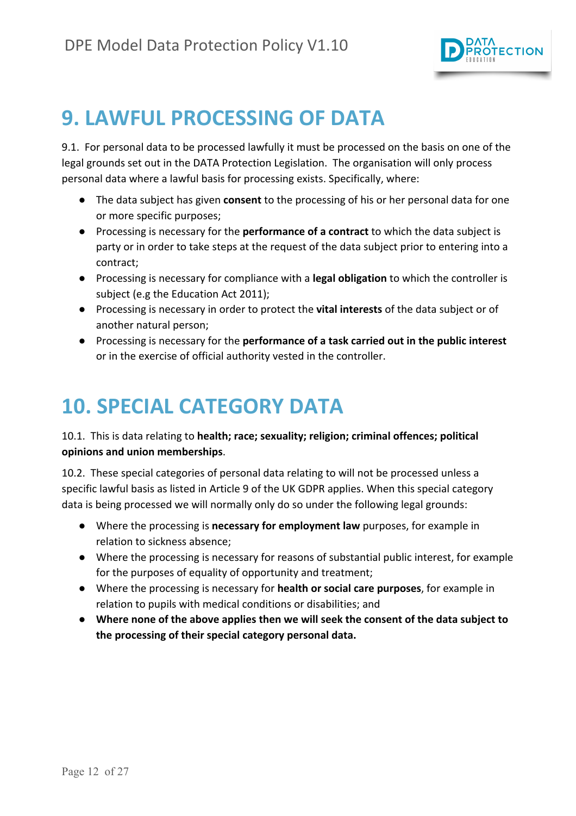

### **9. LAWFUL PROCESSING OF DATA**

9.1. For personal data to be processed lawfully it must be processed on the basis on one of the legal grounds set out in the DATA Protection Legislation. The organisation will only process personal data where a lawful basis for processing exists. Specifically, where:

- The data subject has given **consent** to the processing of his or her personal data for one or more specific purposes;
- Processing is necessary for the **performance of a contract** to which the data subject is party or in order to take steps at the request of the data subject prior to entering into a contract;
- Processing is necessary for compliance with a **legal obligation** to which the controller is subject (e.g the Education Act 2011);
- Processing is necessary in order to protect the **vital interests** of the data subject or of another natural person;
- Processing is necessary for the **performance of a task carried out in the public interest** or in the exercise of official authority vested in the controller.

### **10. SPECIAL CATEGORY DATA**

#### 10.1. This is data relating to **health; race; sexuality; religion; criminal offences; political opinions and union memberships**.

10.2. These special categories of personal data relating to will not be processed unless a specific lawful basis as listed in Article 9 of the UK GDPR applies. When this special category data is being processed we will normally only do so under the following legal grounds:

- Where the processing is **necessary for employment law** purposes, for example in relation to sickness absence;
- Where the processing is necessary for reasons of substantial public interest, for example for the purposes of equality of opportunity and treatment;
- Where the processing is necessary for **health or social care purposes**, for example in relation to pupils with medical conditions or disabilities; and
- **Where none of the above applies then we will seek the consent of the data subject to the processing of their special category personal data.**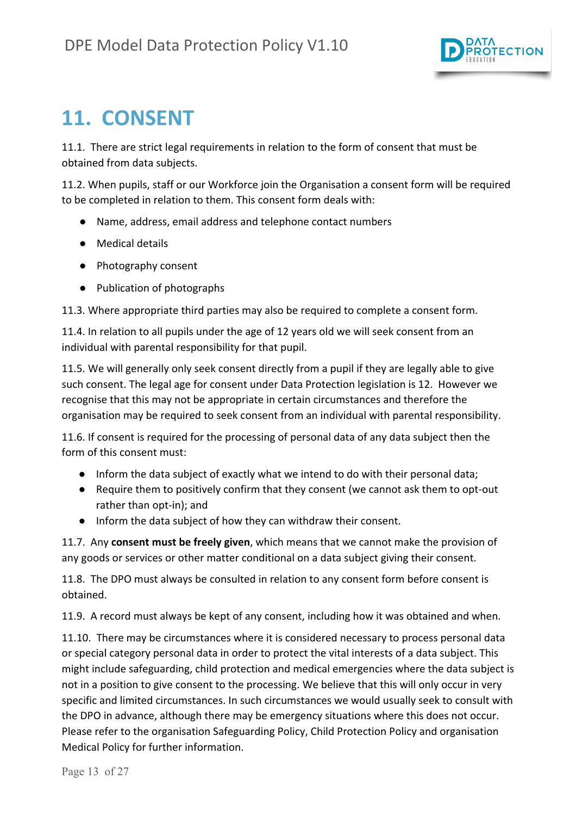

#### **11. CONSENT**

11.1. There are strict legal requirements in relation to the form of consent that must be obtained from data subjects.

11.2. When pupils, staff or our Workforce join the Organisation a consent form will be required to be completed in relation to them. This consent form deals with:

- Name, address, email address and telephone contact numbers
- Medical details
- Photography consent
- Publication of photographs

11.3. Where appropriate third parties may also be required to complete a consent form.

11.4. In relation to all pupils under the age of 12 years old we will seek consent from an individual with parental responsibility for that pupil.

11.5. We will generally only seek consent directly from a pupil if they are legally able to give such consent. The legal age for consent under Data Protection legislation is 12. However we recognise that this may not be appropriate in certain circumstances and therefore the organisation may be required to seek consent from an individual with parental responsibility.

11.6. If consent is required for the processing of personal data of any data subject then the form of this consent must:

- Inform the data subject of exactly what we intend to do with their personal data;
- Require them to positively confirm that they consent (we cannot ask them to opt-out rather than opt-in); and
- Inform the data subject of how they can withdraw their consent.

11.7. Any **consent must be freely given**, which means that we cannot make the provision of any goods or services or other matter conditional on a data subject giving their consent.

11.8. The DPO must always be consulted in relation to any consent form before consent is obtained.

11.9. A record must always be kept of any consent, including how it was obtained and when.

11.10.There may be circumstances where it is considered necessary to process personal data or special category personal data in order to protect the vital interests of a data subject. This might include safeguarding, child protection and medical emergencies where the data subject is not in a position to give consent to the processing. We believe that this will only occur in very specific and limited circumstances. In such circumstances we would usually seek to consult with the DPO in advance, although there may be emergency situations where this does not occur. Please refer to the organisation Safeguarding Policy, Child Protection Policy and organisation Medical Policy for further information.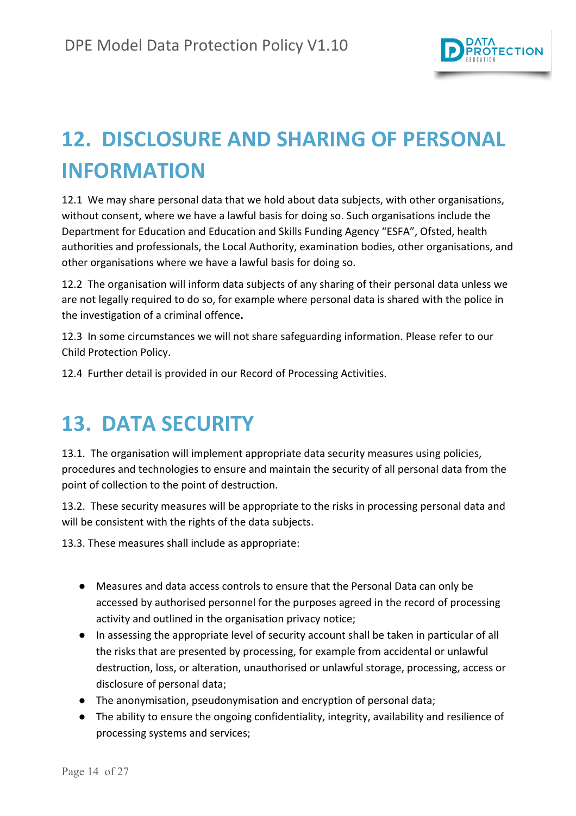

# **12. DISCLOSURE AND SHARING OF PERSONAL INFORMATION**

12.1 We may share personal data that we hold about data subjects, with other organisations, without consent, where we have a lawful basis for doing so. Such organisations include the Department for Education and Education and Skills Funding Agency "ESFA", Ofsted, health authorities and professionals, the Local Authority, examination bodies, other organisations, and other organisations where we have a lawful basis for doing so.

12.2 The organisation will inform data subjects of any sharing of their personal data unless we are not legally required to do so, for example where personal data is shared with the police in the investigation of a criminal offence**.**

12.3 In some circumstances we will not share safeguarding information. Please refer to our Child Protection Policy.

12.4 Further detail is provided in our Record of Processing Activities.

#### **13. DATA SECURITY**

13.1. The organisation will implement appropriate data security measures using policies, procedures and technologies to ensure and maintain the security of all personal data from the point of collection to the point of destruction.

13.2. These security measures will be appropriate to the risks in processing personal data and will be consistent with the rights of the data subjects.

13.3. These measures shall include as appropriate:

- Measures and data access controls to ensure that the Personal Data can only be accessed by authorised personnel for the purposes agreed in the record of processing activity and outlined in the organisation privacy notice;
- In assessing the appropriate level of security account shall be taken in particular of all the risks that are presented by processing, for example from accidental or unlawful destruction, loss, or alteration, unauthorised or unlawful storage, processing, access or disclosure of personal data;
- The anonymisation, pseudonymisation and encryption of personal data;
- The ability to ensure the ongoing confidentiality, integrity, availability and resilience of processing systems and services;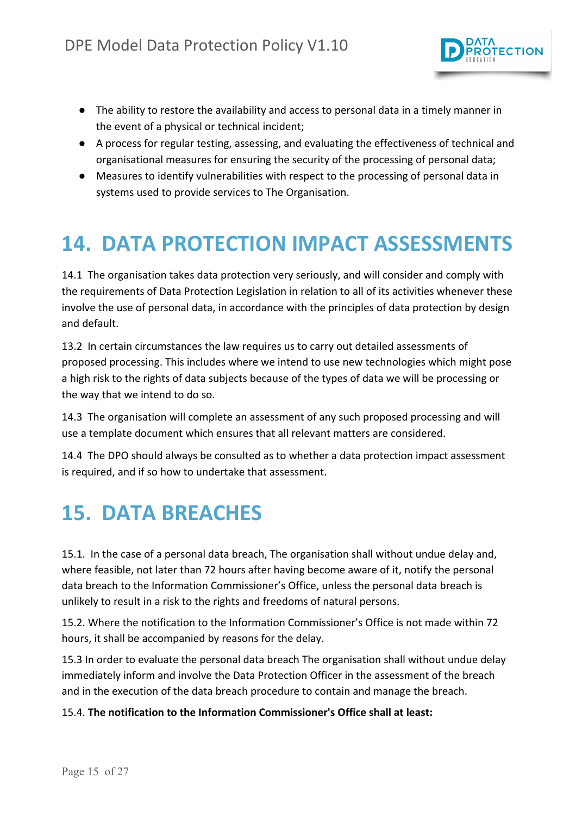

- The ability to restore the availability and access to personal data in a timely manner in the event of a physical or technical incident;
- A process for regular testing, assessing, and evaluating the effectiveness of technical and organisational measures for ensuring the security of the processing of personal data;
- Measures to identify vulnerabilities with respect to the processing of personal data in systems used to provide services to The Organisation.

### **14. DATA PROTECTION IMPACT ASSESSMENTS**

14.1 The organisation takes data protection very seriously, and will consider and comply with the requirements of Data Protection Legislation in relation to all of its activities whenever these involve the use of personal data, in accordance with the principles of data protection by design and default.

13.2 In certain circumstances the law requires us to carry out detailed assessments of proposed processing. This includes where we intend to use new technologies which might pose a high risk to the rights of data subjects because of the types of data we will be processing or the way that we intend to do so.

14.3 The organisation will complete an assessment of any such proposed processing and will use a template document which ensures that all relevant matters are considered.

14.4 The DPO should always be consulted as to whether a data protection impact assessment is required, and if so how to undertake that assessment.

#### **15. DATA BREACHES**

15.1. In the case of a personal data breach, The organisation shall without undue delay and, where feasible, not later than 72 hours after having become aware of it, notify the personal data breach to the Information Commissioner's Office, unless the personal data breach is unlikely to result in a risk to the rights and freedoms of natural persons.

15.2. Where the notification to the Information Commissioner's Office is not made within 72 hours, it shall be accompanied by reasons for the delay.

15.3 In order to evaluate the personal data breach The organisation shall without undue delay immediately inform and involve the Data Protection Officer in the assessment of the breach and in the execution of the data breach procedure to contain and manage the breach.

#### 15.4. **The notification to the Information Commissioner's Office shall at least:**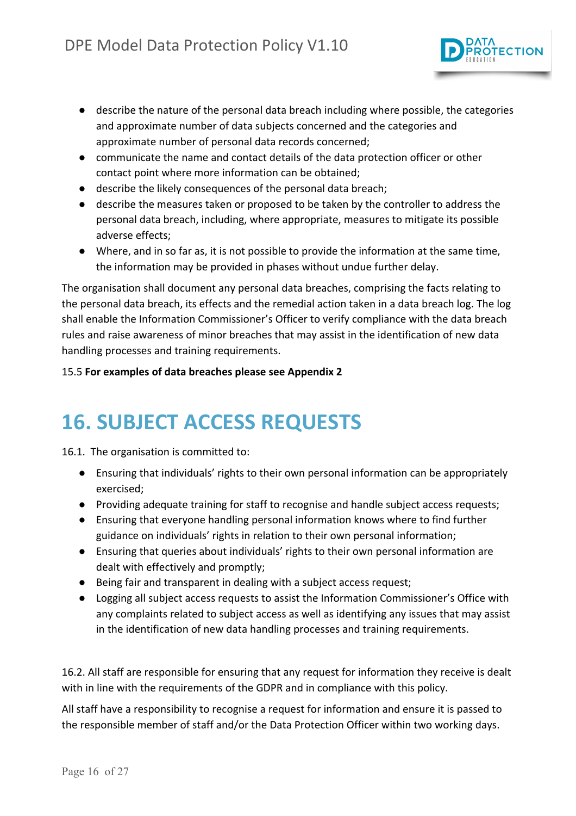

- describe the nature of the personal data breach including where possible, the categories and approximate number of data subjects concerned and the categories and approximate number of personal data records concerned;
- communicate the name and contact details of the data protection officer or other contact point where more information can be obtained;
- describe the likely consequences of the personal data breach;
- describe the measures taken or proposed to be taken by the controller to address the personal data breach, including, where appropriate, measures to mitigate its possible adverse effects;
- Where, and in so far as, it is not possible to provide the information at the same time, the information may be provided in phases without undue further delay.

The organisation shall document any personal data breaches, comprising the facts relating to the personal data breach, its effects and the remedial action taken in a data breach log. The log shall enable the Information Commissioner's Officer to verify compliance with the data breach rules and raise awareness of minor breaches that may assist in the identification of new data handling processes and training requirements.

#### 15.5 **For examples of data breaches please see Appendix 2**

### **16. SUBJECT ACCESS REQUESTS**

16.1. The organisation is committed to:

- Ensuring that individuals' rights to their own personal information can be appropriately exercised;
- Providing adequate training for staff to recognise and handle subject access requests;
- Ensuring that everyone handling personal information knows where to find further guidance on individuals' rights in relation to their own personal information;
- Ensuring that queries about individuals' rights to their own personal information are dealt with effectively and promptly;
- Being fair and transparent in dealing with a subject access request;
- Logging all subject access requests to assist the Information Commissioner's Office with any complaints related to subject access as well as identifying any issues that may assist in the identification of new data handling processes and training requirements.

16.2. All staff are responsible for ensuring that any request for information they receive is dealt with in line with the requirements of the GDPR and in compliance with this policy.

All staff have a responsibility to recognise a request for information and ensure it is passed to the responsible member of staff and/or the Data Protection Officer within two working days.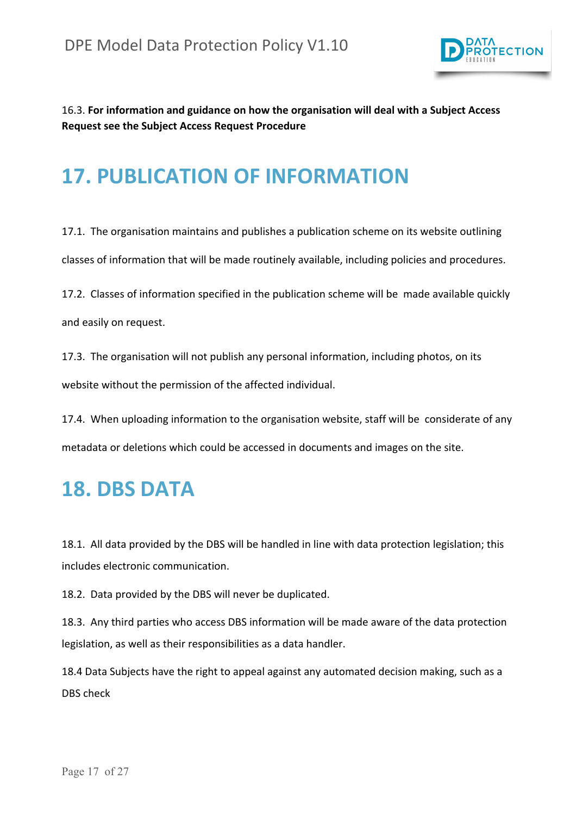

16.3. **For information and guidance on how the organisation will deal with a Subject Access Request see the Subject Access Request Procedure**

#### **17. PUBLICATION OF INFORMATION**

17.1. The organisation maintains and publishes a publication scheme on its website outlining classes of information that will be made routinely available, including policies and procedures.

17.2. Classes of information specified in the publication scheme will be made available quickly and easily on request.

17.3. The organisation will not publish any personal information, including photos, on its website without the permission of the affected individual.

17.4. When uploading information to the organisation website, staff will be considerate of any metadata or deletions which could be accessed in documents and images on the site.

#### **18. DBS DATA**

18.1. All data provided by the DBS will be handled in line with data protection legislation; this includes electronic communication.

18.2. Data provided by the DBS will never be duplicated.

18.3. Any third parties who access DBS information will be made aware of the data protection legislation, as well as their responsibilities as a data handler.

18.4 Data Subjects have the right to appeal against any automated decision making, such as a DBS check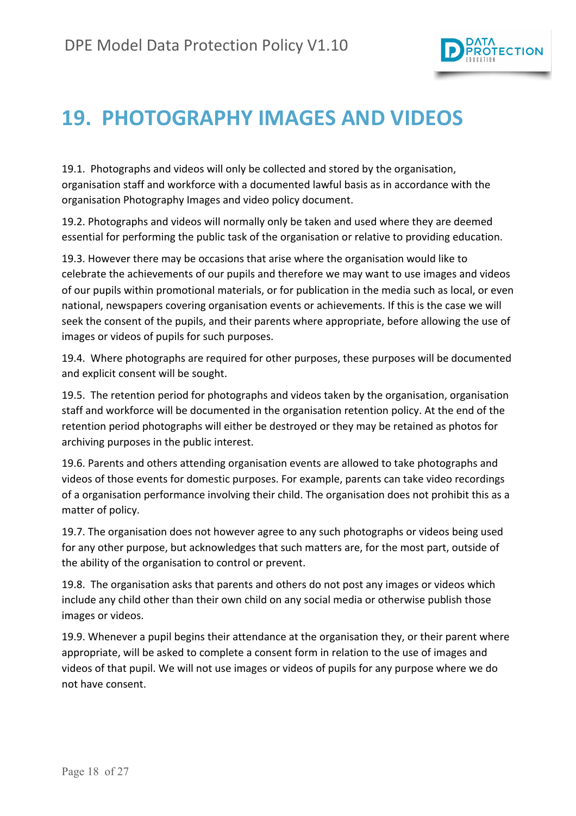

#### **19. PHOTOGRAPHY IMAGES AND VIDEOS**

19.1. Photographs and videos will only be collected and stored by the organisation, organisation staff and workforce with a documented lawful basis as in accordance with the organisation Photography Images and video policy document.

19.2. Photographs and videos will normally only be taken and used where they are deemed essential for performing the public task of the organisation or relative to providing education.

19.3. However there may be occasions that arise where the organisation would like to celebrate the achievements of our pupils and therefore we may want to use images and videos of our pupils within promotional materials, or for publication in the media such as local, or even national, newspapers covering organisation events or achievements. If this is the case we will seek the consent of the pupils, and their parents where appropriate, before allowing the use of images or videos of pupils for such purposes.

19.4. Where photographs are required for other purposes, these purposes will be documented and explicit consent will be sought.

19.5. The retention period for photographs and videos taken by the organisation, organisation staff and workforce will be documented in the organisation retention policy. At the end of the retention period photographs will either be destroyed or they may be retained as photos for archiving purposes in the public interest.

19.6. Parents and others attending organisation events are allowed to take photographs and videos of those events for domestic purposes. For example, parents can take video recordings of a organisation performance involving their child. The organisation does not prohibit this as a matter of policy.

19.7. The organisation does not however agree to any such photographs or videos being used for any other purpose, but acknowledges that such matters are, for the most part, outside of the ability of the organisation to control or prevent.

19.8. The organisation asks that parents and others do not post any images or videos which include any child other than their own child on any social media or otherwise publish those images or videos.

19.9. Whenever a pupil begins their attendance at the organisation they, or their parent where appropriate, will be asked to complete a consent form in relation to the use of images and videos of that pupil. We will not use images or videos of pupils for any purpose where we do not have consent.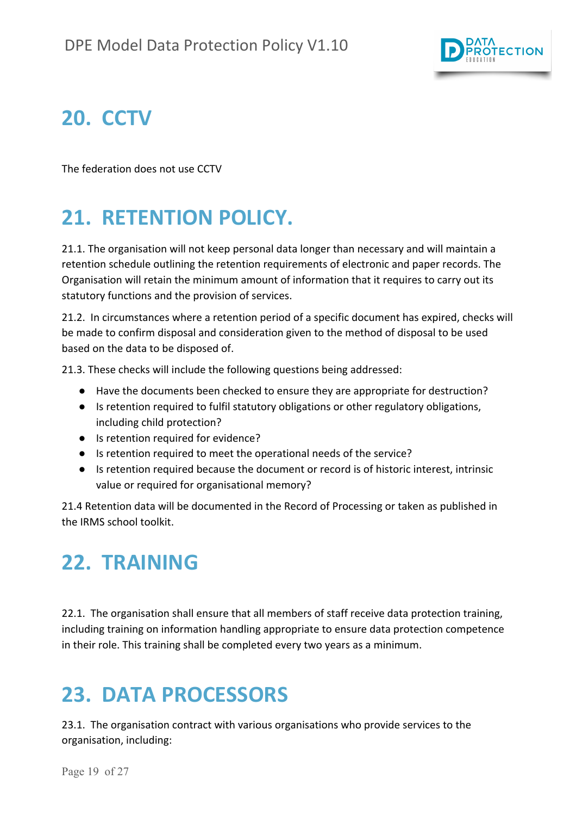

#### **20. CCTV**

The federation does not use CCTV

### **21. RETENTION POLICY.**

21.1. The organisation will not keep personal data longer than necessary and will maintain a retention schedule outlining the retention requirements of electronic and paper records. The Organisation will retain the minimum amount of information that it requires to carry out its statutory functions and the provision of services.

21.2. In circumstances where a retention period of a specific document has expired, checks will be made to confirm disposal and consideration given to the method of disposal to be used based on the data to be disposed of.

21.3. These checks will include the following questions being addressed:

- Have the documents been checked to ensure they are appropriate for destruction?
- Is retention required to fulfil statutory obligations or other regulatory obligations, including child protection?
- Is retention required for evidence?
- Is retention required to meet the operational needs of the service?
- Is retention required because the document or record is of historic interest, intrinsic value or required for organisational memory?

21.4 Retention data will be documented in the Record of Processing or taken as published in the IRMS school toolkit.

#### **22. TRAINING**

22.1. The organisation shall ensure that all members of staff receive data protection training, including training on information handling appropriate to ensure data protection competence in their role. This training shall be completed every two years as a minimum.

#### **23. DATA PROCESSORS**

23.1. The organisation contract with various organisations who provide services to the organisation, including: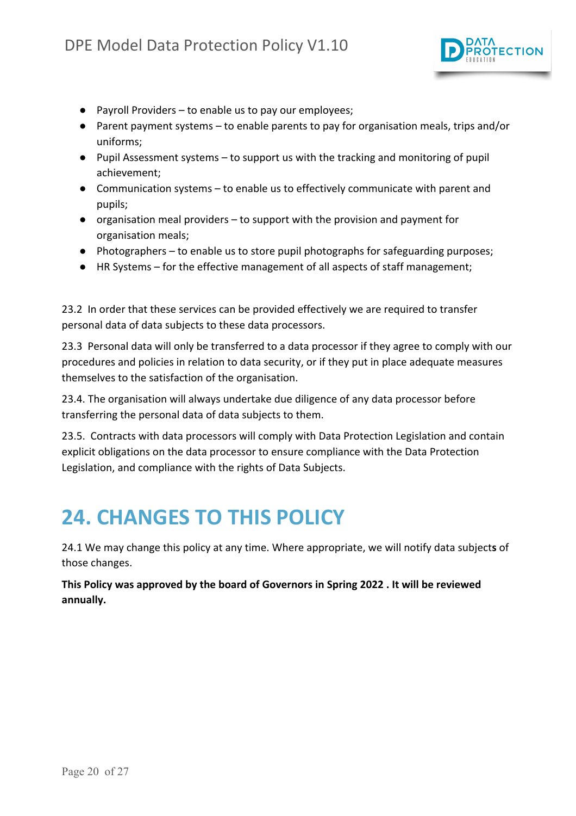

- Payroll Providers to enable us to pay our employees;
- Parent payment systems to enable parents to pay for organisation meals, trips and/or uniforms;
- Pupil Assessment systems to support us with the tracking and monitoring of pupil achievement;
- Communication systems to enable us to effectively communicate with parent and pupils;
- organisation meal providers to support with the provision and payment for organisation meals;
- Photographers to enable us to store pupil photographs for safeguarding purposes;
- HR Systems for the effective management of all aspects of staff management;

23.2 In order that these services can be provided effectively we are required to transfer personal data of data subjects to these data processors.

23.3 Personal data will only be transferred to a data processor if they agree to comply with our procedures and policies in relation to data security, or if they put in place adequate measures themselves to the satisfaction of the organisation.

23.4. The organisation will always undertake due diligence of any data processor before transferring the personal data of data subjects to them.

23.5. Contracts with data processors will comply with Data Protection Legislation and contain explicit obligations on the data processor to ensure compliance with the Data Protection Legislation, and compliance with the rights of Data Subjects.

### **24. CHANGES TO THIS POLICY**

24.1 We may change this policy at any time. Where appropriate, we will notify data subject**s** of those changes.

**This Policy was approved by the board of Governors in Spring 2022 . It will be reviewed annually.**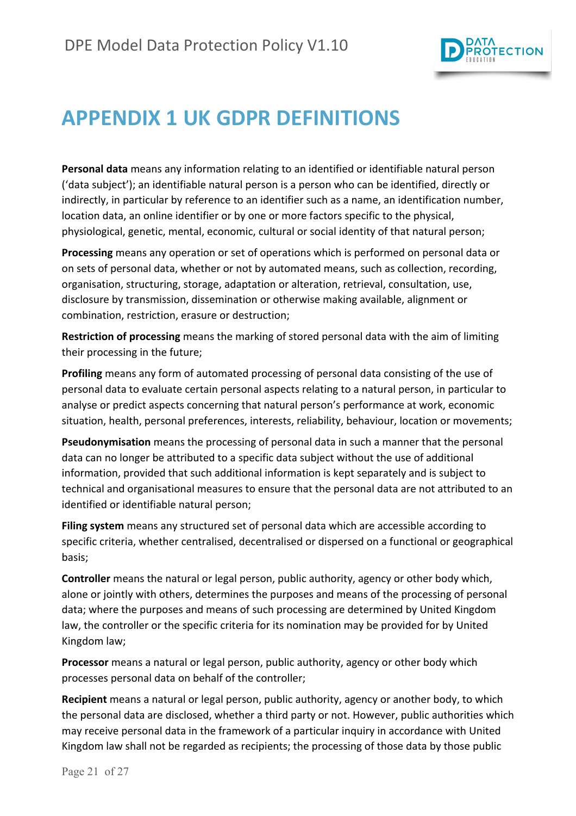

#### **APPENDIX 1 UK GDPR DEFINITIONS**

**Personal data** means any information relating to an identified or identifiable natural person ('data subject'); an identifiable natural person is a person who can be identified, directly or indirectly, in particular by reference to an identifier such as a name, an identification number, location data, an online identifier or by one or more factors specific to the physical, physiological, genetic, mental, economic, cultural or social identity of that natural person;

**Processing** means any operation or set of operations which is performed on personal data or on sets of personal data, whether or not by automated means, such as collection, recording, organisation, structuring, storage, adaptation or alteration, retrieval, consultation, use, disclosure by transmission, dissemination or otherwise making available, alignment or combination, restriction, erasure or destruction;

**Restriction of processing** means the marking of stored personal data with the aim of limiting their processing in the future;

**Profiling** means any form of automated processing of personal data consisting of the use of personal data to evaluate certain personal aspects relating to a natural person, in particular to analyse or predict aspects concerning that natural person's performance at work, economic situation, health, personal preferences, interests, reliability, behaviour, location or movements;

**Pseudonymisation** means the processing of personal data in such a manner that the personal data can no longer be attributed to a specific data subject without the use of additional information, provided that such additional information is kept separately and is subject to technical and organisational measures to ensure that the personal data are not attributed to an identified or identifiable natural person;

**Filing system** means any structured set of personal data which are accessible according to specific criteria, whether centralised, decentralised or dispersed on a functional or geographical basis;

**Controller** means the natural or legal person, public authority, agency or other body which, alone or jointly with others, determines the purposes and means of the processing of personal data; where the purposes and means of such processing are determined by United Kingdom law, the controller or the specific criteria for its nomination may be provided for by United Kingdom law;

**Processor** means a natural or legal person, public authority, agency or other body which processes personal data on behalf of the controller;

**Recipient** means a natural or legal person, public authority, agency or another body, to which the personal data are disclosed, whether a third party or not. However, public authorities which may receive personal data in the framework of a particular inquiry in accordance with United Kingdom law shall not be regarded as recipients; the processing of those data by those public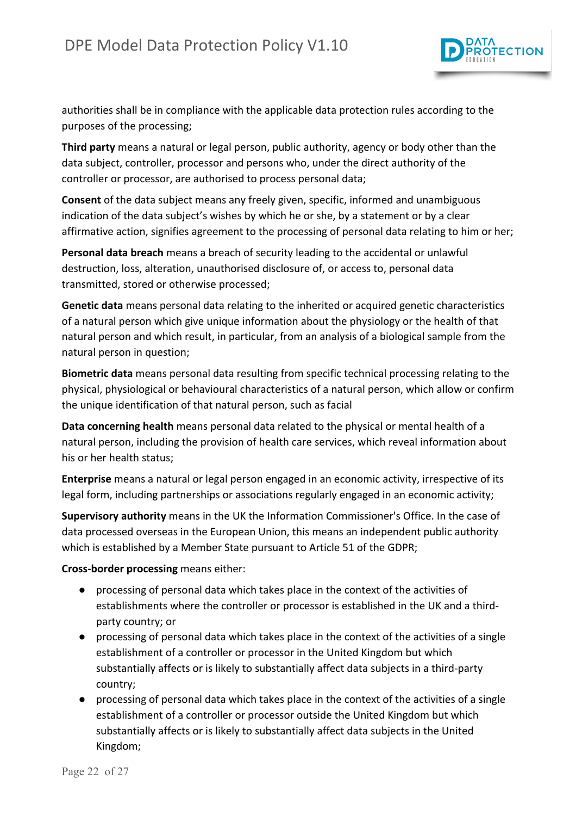

authorities shall be in compliance with the applicable data protection rules according to the purposes of the processing;

**Third party** means a natural or legal person, public authority, agency or body other than the data subject, controller, processor and persons who, under the direct authority of the controller or processor, are authorised to process personal data;

**Consent** of the data subject means any freely given, specific, informed and unambiguous indication of the data subject's wishes by which he or she, by a statement or by a clear affirmative action, signifies agreement to the processing of personal data relating to him or her;

**Personal data breach** means a breach of security leading to the accidental or unlawful destruction, loss, alteration, unauthorised disclosure of, or access to, personal data transmitted, stored or otherwise processed;

**Genetic data** means personal data relating to the inherited or acquired genetic characteristics of a natural person which give unique information about the physiology or the health of that natural person and which result, in particular, from an analysis of a biological sample from the natural person in question;

**Biometric data** means personal data resulting from specific technical processing relating to the physical, physiological or behavioural characteristics of a natural person, which allow or confirm the unique identification of that natural person, such as facial

**Data concerning health** means personal data related to the physical or mental health of a natural person, including the provision of health care services, which reveal information about his or her health status;

**Enterprise** means a natural or legal person engaged in an economic activity, irrespective of its legal form, including partnerships or associations regularly engaged in an economic activity;

**Supervisory authority** means in the UK the Information Commissioner's Office. In the case of data processed overseas in the European Union, this means an independent public authority which is established by a Member State pursuant to Article 51 of the GDPR;

#### **Cross-border processing** means either:

- processing of personal data which takes place in the context of the activities of establishments where the controller or processor is established in the UK and a thirdparty country; or
- processing of personal data which takes place in the context of the activities of a single establishment of a controller or processor in the United Kingdom but which substantially affects or is likely to substantially affect data subjects in a third-party country;
- processing of personal data which takes place in the context of the activities of a single establishment of a controller or processor outside the United Kingdom but which substantially affects or is likely to substantially affect data subjects in the United Kingdom;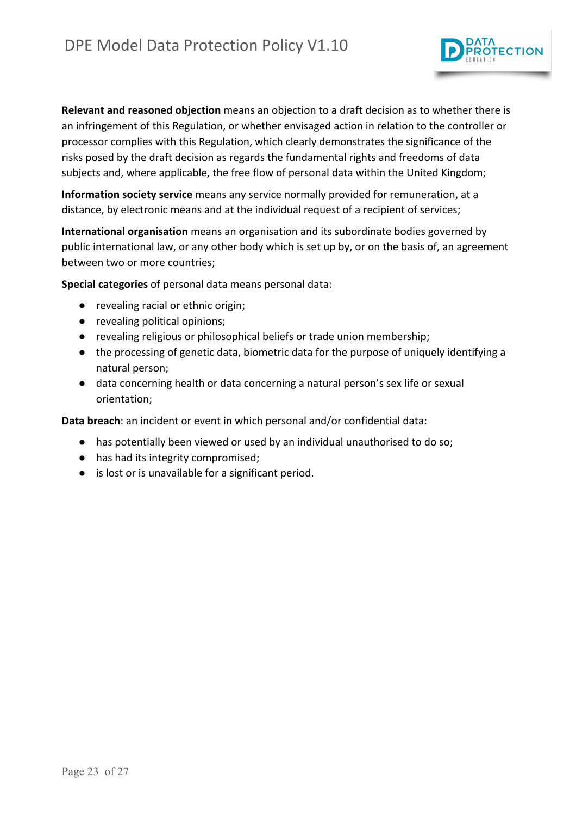

**Relevant and reasoned objection** means an objection to a draft decision as to whether there is an infringement of this Regulation, or whether envisaged action in relation to the controller or processor complies with this Regulation, which clearly demonstrates the significance of the risks posed by the draft decision as regards the fundamental rights and freedoms of data subjects and, where applicable, the free flow of personal data within the United Kingdom;

**Information society service** means any service normally provided for remuneration, at a distance, by electronic means and at the individual request of a recipient of services;

**International organisation** means an organisation and its subordinate bodies governed by public international law, or any other body which is set up by, or on the basis of, an agreement between two or more countries;

**Special categories** of personal data means personal data:

- revealing racial or ethnic origin;
- revealing political opinions;
- revealing religious or philosophical beliefs or trade union membership;
- the processing of genetic data, biometric data for the purpose of uniquely identifying a natural person;
- data concerning health or data concerning a natural person's sex life or sexual orientation;

**Data breach**: an incident or event in which personal and/or confidential data:

- has potentially been viewed or used by an individual unauthorised to do so;
- has had its integrity compromised;
- is lost or is unavailable for a significant period.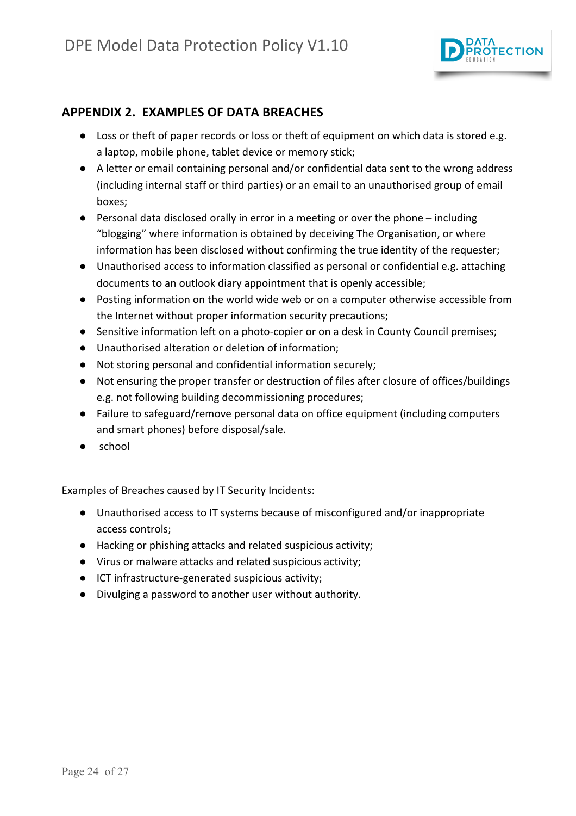

#### **APPENDIX 2. EXAMPLES OF DATA BREACHES**

- Loss or theft of paper records or loss or theft of equipment on which data is stored e.g. a laptop, mobile phone, tablet device or memory stick;
- A letter or email containing personal and/or confidential data sent to the wrong address (including internal staff or third parties) or an email to an unauthorised group of email boxes;
- Personal data disclosed orally in error in a meeting or over the phone including "blogging" where information is obtained by deceiving The Organisation, or where information has been disclosed without confirming the true identity of the requester;
- Unauthorised access to information classified as personal or confidential e.g. attaching documents to an outlook diary appointment that is openly accessible;
- Posting information on the world wide web or on a computer otherwise accessible from the Internet without proper information security precautions;
- Sensitive information left on a photo-copier or on a desk in County Council premises;
- Unauthorised alteration or deletion of information;
- Not storing personal and confidential information securely;
- Not ensuring the proper transfer or destruction of files after closure of offices/buildings e.g. not following building decommissioning procedures;
- Failure to safeguard/remove personal data on office equipment (including computers and smart phones) before disposal/sale.
- school

Examples of Breaches caused by IT Security Incidents:

- Unauthorised access to IT systems because of misconfigured and/or inappropriate access controls;
- Hacking or phishing attacks and related suspicious activity;
- Virus or malware attacks and related suspicious activity;
- ICT infrastructure-generated suspicious activity;
- Divulging a password to another user without authority.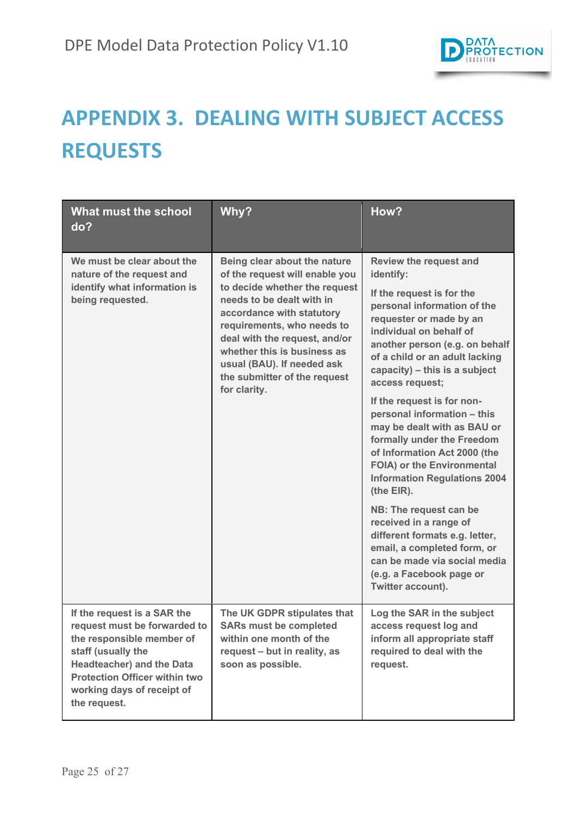

# **APPENDIX 3. DEALING WITH SUBJECT ACCESS REQUESTS**

| <b>What must the school</b><br>do?                                                                                                                                                                                                       | Why?                                                                                                                                                                                                                                                                                                                                  | How?                                                                                                                                                                                                                                                                                 |
|------------------------------------------------------------------------------------------------------------------------------------------------------------------------------------------------------------------------------------------|---------------------------------------------------------------------------------------------------------------------------------------------------------------------------------------------------------------------------------------------------------------------------------------------------------------------------------------|--------------------------------------------------------------------------------------------------------------------------------------------------------------------------------------------------------------------------------------------------------------------------------------|
| We must be clear about the<br>nature of the request and<br>identify what information is<br>being requested.                                                                                                                              | Being clear about the nature<br>of the request will enable you<br>to decide whether the request<br>needs to be dealt with in<br>accordance with statutory<br>requirements, who needs to<br>deal with the request, and/or<br>whether this is business as<br>usual (BAU). If needed ask<br>the submitter of the request<br>for clarity. | <b>Review the request and</b><br>identify:<br>If the request is for the<br>personal information of the<br>requester or made by an<br>individual on behalf of<br>another person (e.g. on behalf<br>of a child or an adult lacking<br>capacity) – this is a subject<br>access request; |
|                                                                                                                                                                                                                                          |                                                                                                                                                                                                                                                                                                                                       | If the request is for non-<br>personal information - this<br>may be dealt with as BAU or<br>formally under the Freedom<br>of Information Act 2000 (the<br><b>FOIA) or the Environmental</b><br><b>Information Regulations 2004</b><br>(the EIR).                                     |
|                                                                                                                                                                                                                                          |                                                                                                                                                                                                                                                                                                                                       | NB: The request can be<br>received in a range of<br>different formats e.g. letter,<br>email, a completed form, or<br>can be made via social media<br>(e.g. a Facebook page or<br>Twitter account).                                                                                   |
| If the request is a SAR the<br>request must be forwarded to<br>the responsible member of<br>staff (usually the<br><b>Headteacher) and the Data</b><br><b>Protection Officer within two</b><br>working days of receipt of<br>the request. | The UK GDPR stipulates that<br><b>SARs must be completed</b><br>within one month of the<br>request - but in reality, as<br>soon as possible.                                                                                                                                                                                          | Log the SAR in the subject<br>access request log and<br>inform all appropriate staff<br>required to deal with the<br>request.                                                                                                                                                        |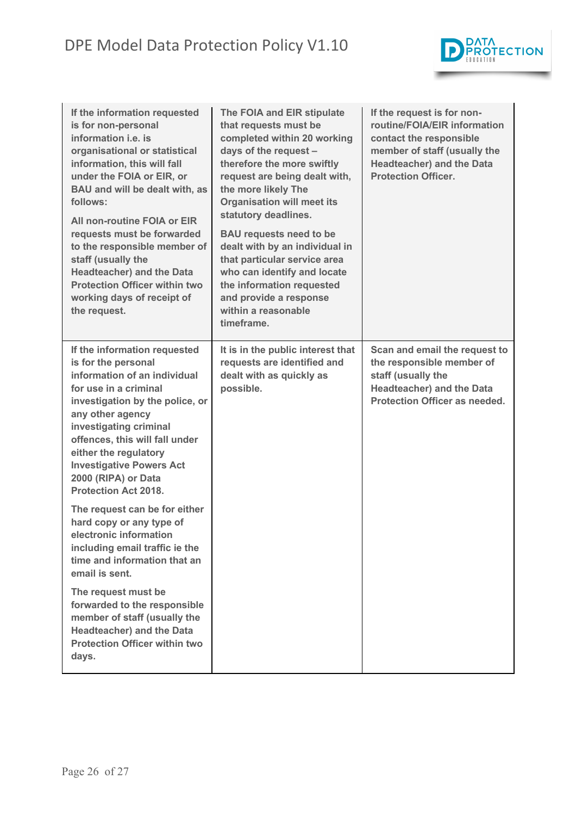

| If the information requested<br>is for non-personal<br>information <i>i.e.</i> is<br>organisational or statistical<br>information, this will fall<br>under the FOIA or EIR, or<br>BAU and will be dealt with, as<br>follows:<br>All non-routine FOIA or EIR<br>requests must be forwarded<br>to the responsible member of<br>staff (usually the<br><b>Headteacher) and the Data</b><br><b>Protection Officer within two</b><br>working days of receipt of<br>the request. | The FOIA and EIR stipulate<br>that requests must be<br>completed within 20 working<br>days of the request -<br>therefore the more swiftly<br>request are being dealt with,<br>the more likely The<br><b>Organisation will meet its</b><br>statutory deadlines.<br><b>BAU requests need to be</b><br>dealt with by an individual in<br>that particular service area<br>who can identify and locate<br>the information requested<br>and provide a response<br>within a reasonable<br>timeframe. | If the request is for non-<br>routine/FOIA/EIR information<br>contact the responsible<br>member of staff (usually the<br><b>Headteacher) and the Data</b><br><b>Protection Officer.</b> |
|---------------------------------------------------------------------------------------------------------------------------------------------------------------------------------------------------------------------------------------------------------------------------------------------------------------------------------------------------------------------------------------------------------------------------------------------------------------------------|-----------------------------------------------------------------------------------------------------------------------------------------------------------------------------------------------------------------------------------------------------------------------------------------------------------------------------------------------------------------------------------------------------------------------------------------------------------------------------------------------|-----------------------------------------------------------------------------------------------------------------------------------------------------------------------------------------|
| If the information requested<br>is for the personal<br>information of an individual<br>for use in a criminal<br>investigation by the police, or<br>any other agency<br>investigating criminal<br>offences, this will fall under<br>either the regulatory<br><b>Investigative Powers Act</b><br>2000 (RIPA) or Data<br><b>Protection Act 2018.</b>                                                                                                                         | It is in the public interest that<br>requests are identified and<br>dealt with as quickly as<br>possible.                                                                                                                                                                                                                                                                                                                                                                                     | Scan and email the request to<br>the responsible member of<br>staff (usually the<br><b>Headteacher) and the Data</b><br><b>Protection Officer as needed.</b>                            |
| The request can be for either<br>hard copy or any type of<br>electronic information<br>including email traffic ie the<br>time and information that an<br>email is sent.                                                                                                                                                                                                                                                                                                   |                                                                                                                                                                                                                                                                                                                                                                                                                                                                                               |                                                                                                                                                                                         |
| The request must be<br>forwarded to the responsible<br>member of staff (usually the<br><b>Headteacher) and the Data</b><br><b>Protection Officer within two</b><br>days.                                                                                                                                                                                                                                                                                                  |                                                                                                                                                                                                                                                                                                                                                                                                                                                                                               |                                                                                                                                                                                         |